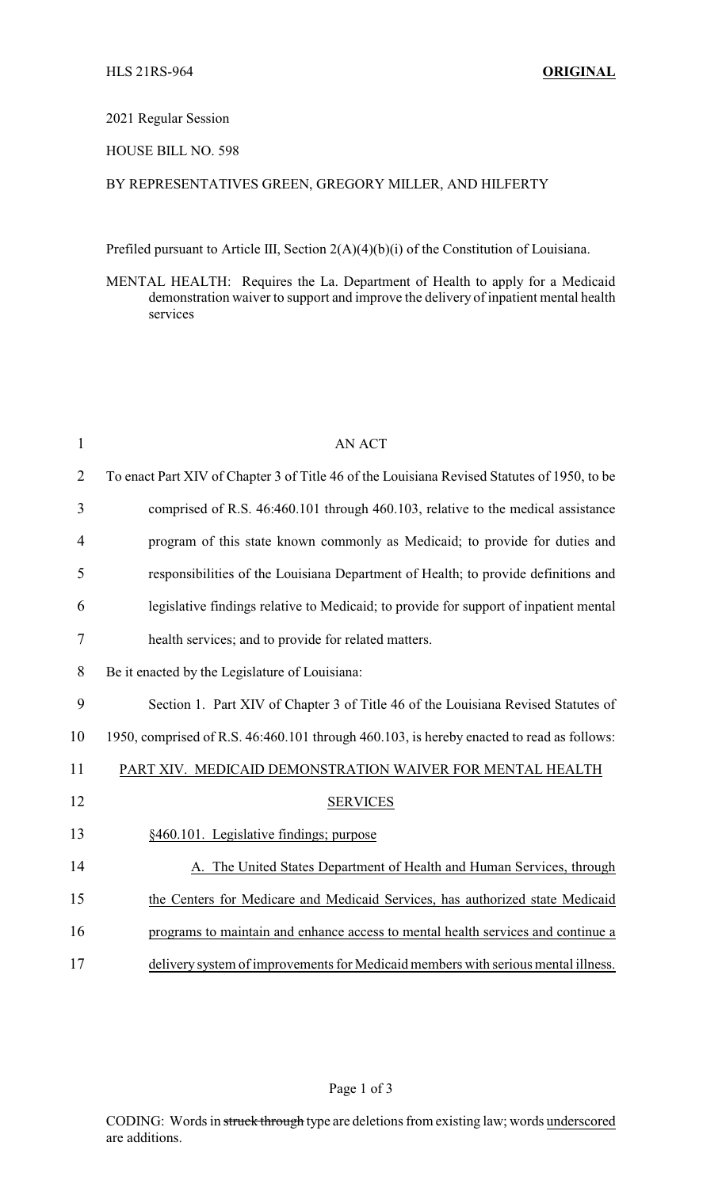## 2021 Regular Session

## HOUSE BILL NO. 598

## BY REPRESENTATIVES GREEN, GREGORY MILLER, AND HILFERTY

Prefiled pursuant to Article III, Section 2(A)(4)(b)(i) of the Constitution of Louisiana.

MENTAL HEALTH: Requires the La. Department of Health to apply for a Medicaid demonstration waiver to support and improve the delivery of inpatient mental health services

| $\mathbf{1}$   | <b>AN ACT</b>                                                                               |
|----------------|---------------------------------------------------------------------------------------------|
| $\overline{2}$ | To enact Part XIV of Chapter 3 of Title 46 of the Louisiana Revised Statutes of 1950, to be |
| 3              | comprised of R.S. 46:460.101 through 460.103, relative to the medical assistance            |
| $\overline{4}$ | program of this state known commonly as Medicaid; to provide for duties and                 |
| 5              | responsibilities of the Louisiana Department of Health; to provide definitions and          |
| 6              | legislative findings relative to Medicaid; to provide for support of inpatient mental       |
| $\tau$         | health services; and to provide for related matters.                                        |
| 8              | Be it enacted by the Legislature of Louisiana:                                              |
| 9              | Section 1. Part XIV of Chapter 3 of Title 46 of the Louisiana Revised Statutes of           |
| 10             | 1950, comprised of R.S. 46:460.101 through 460.103, is hereby enacted to read as follows:   |
| 11             | PART XIV. MEDICAID DEMONSTRATION WAIVER FOR MENTAL HEALTH                                   |
| 12             | <b>SERVICES</b>                                                                             |
| 13             | §460.101. Legislative findings; purpose                                                     |
| 14             | A. The United States Department of Health and Human Services, through                       |
| 15             | the Centers for Medicare and Medicaid Services, has authorized state Medicaid               |
| 16             | programs to maintain and enhance access to mental health services and continue a            |
| 17             | delivery system of improvements for Medicaid members with serious mental illness.           |

Page 1 of 3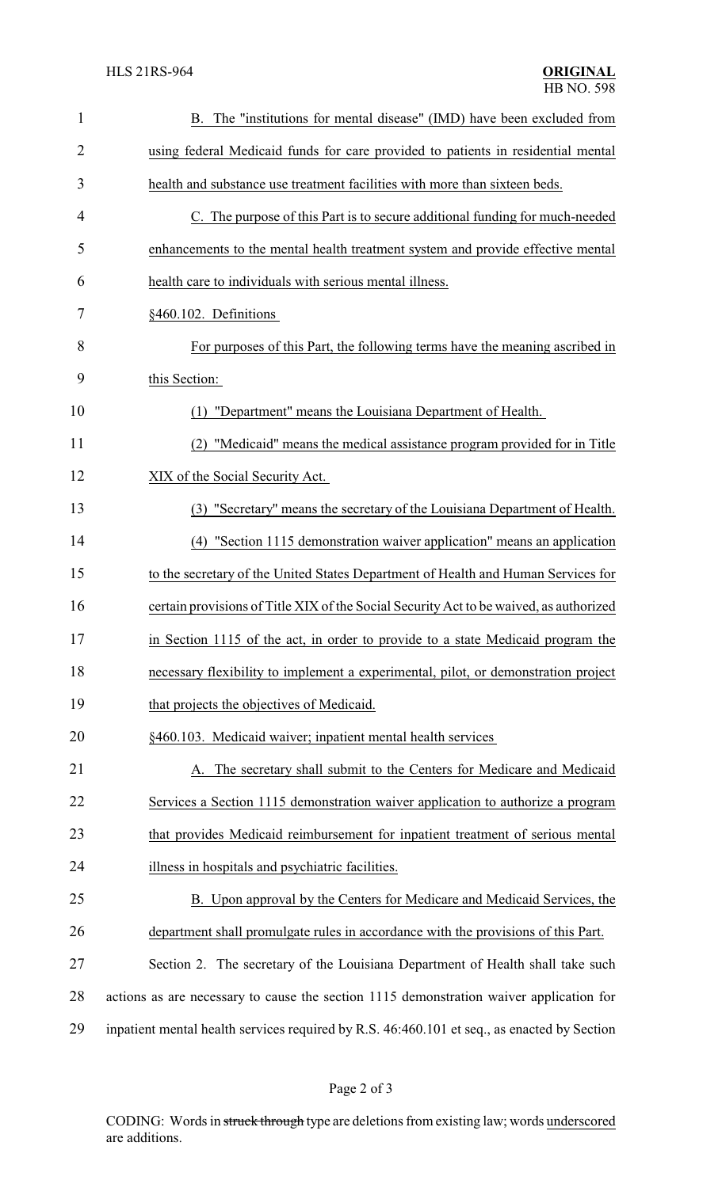| $\mathbf{1}$   | B. The "institutions for mental disease" (IMD) have been excluded from                      |
|----------------|---------------------------------------------------------------------------------------------|
| 2              | using federal Medicaid funds for care provided to patients in residential mental            |
| 3              | health and substance use treatment facilities with more than sixteen beds.                  |
| $\overline{4}$ | C. The purpose of this Part is to secure additional funding for much-needed                 |
| 5              | enhancements to the mental health treatment system and provide effective mental             |
| 6              | health care to individuals with serious mental illness.                                     |
| 7              | §460.102. Definitions                                                                       |
| 8              | For purposes of this Part, the following terms have the meaning ascribed in                 |
| 9              | this Section:                                                                               |
| 10             | "Department" means the Louisiana Department of Health.<br>(1)                               |
| 11             | "Medicaid" means the medical assistance program provided for in Title                       |
| 12             | XIX of the Social Security Act.                                                             |
| 13             | "Secretary" means the secretary of the Louisiana Department of Health.<br>(3)               |
| 14             | "Section 1115 demonstration waiver application" means an application<br>(4)                 |
| 15             | to the secretary of the United States Department of Health and Human Services for           |
| 16             | certain provisions of Title XIX of the Social Security Act to be waived, as authorized      |
| 17             | in Section 1115 of the act, in order to provide to a state Medicaid program the             |
| 18             | necessary flexibility to implement a experimental, pilot, or demonstration project          |
| 19             | that projects the objectives of Medicaid.                                                   |
| 20             | §460.103. Medicaid waiver; inpatient mental health services                                 |
| 21             | A. The secretary shall submit to the Centers for Medicare and Medicaid                      |
| 22             | Services a Section 1115 demonstration waiver application to authorize a program             |
| 23             | that provides Medicaid reimbursement for inpatient treatment of serious mental              |
| 24             | illness in hospitals and psychiatric facilities.                                            |
| 25             | B. Upon approval by the Centers for Medicare and Medicaid Services, the                     |
| 26             | department shall promulgate rules in accordance with the provisions of this Part.           |
| 27             | Section 2. The secretary of the Louisiana Department of Health shall take such              |
| 28             | actions as are necessary to cause the section 1115 demonstration waiver application for     |
| 29             | inpatient mental health services required by R.S. 46:460.101 et seq., as enacted by Section |

CODING: Words in struck through type are deletions from existing law; words underscored are additions.